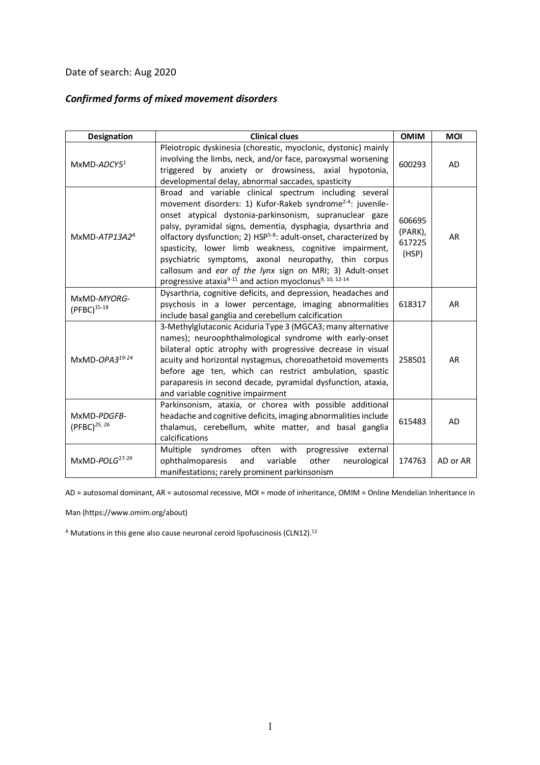## Date of search: Aug 2020

## *Confirmed forms of mixed movement disorders*

| <b>Designation</b>                      | <b>Clinical clues</b>                                                                                                                                                                                                                                                                                                                                                                                                                                                                                                                                                                                       | <b>OMIM</b>                          | <b>MOI</b> |
|-----------------------------------------|-------------------------------------------------------------------------------------------------------------------------------------------------------------------------------------------------------------------------------------------------------------------------------------------------------------------------------------------------------------------------------------------------------------------------------------------------------------------------------------------------------------------------------------------------------------------------------------------------------------|--------------------------------------|------------|
| $MxMD-ADCY51$                           | Pleiotropic dyskinesia (choreatic, myoclonic, dystonic) mainly<br>involving the limbs, neck, and/or face, paroxysmal worsening<br>triggered by anxiety or drowsiness, axial hypotonia,<br>developmental delay, abnormal saccades, spasticity                                                                                                                                                                                                                                                                                                                                                                | 600293                               | AD         |
| $MxMD-ATP13A2A$                         | Broad and variable clinical spectrum including several<br>movement disorders: 1) Kufor-Rakeb syndrome <sup>2-4</sup> : juvenile-<br>onset atypical dystonia-parkinsonism, supranuclear gaze<br>palsy, pyramidal signs, dementia, dysphagia, dysarthria and<br>olfactory dysfunction; 2) HSP <sup>5-8</sup> : adult-onset, characterized by<br>spasticity, lower limb weakness, cognitive impairment,<br>psychiatric symptoms, axonal neuropathy, thin corpus<br>callosum and ear of the lynx sign on MRI; 3) Adult-onset<br>progressive ataxia <sup>9-11</sup> and action myoclonus <sup>9, 10, 12-14</sup> | 606695<br>(PARK),<br>617225<br>(HSP) | AR         |
| MxMD-MYORG-<br>$(PFBC)^{15-18}$         | Dysarthria, cognitive deficits, and depression, headaches and<br>psychosis in a lower percentage, imaging abnormalities<br>include basal ganglia and cerebellum calcification                                                                                                                                                                                                                                                                                                                                                                                                                               | 618317                               | AR         |
| MxMD-OPA319-24                          | 3-Methylglutaconic Aciduria Type 3 (MGCA3; many alternative<br>names); neuroophthalmological syndrome with early-onset<br>bilateral optic atrophy with progressive decrease in visual<br>acuity and horizontal nystagmus, choreoathetoid movements<br>before age ten, which can restrict ambulation, spastic<br>paraparesis in second decade, pyramidal dysfunction, ataxia,<br>and variable cognitive impairment                                                                                                                                                                                           | 258501                               | AR         |
| MxMD-PDGFB-<br>(PFBC) <sup>25, 26</sup> | Parkinsonism, ataxia, or chorea with possible additional<br>headache and cognitive deficits, imaging abnormalities include<br>thalamus, cerebellum, white matter, and basal ganglia<br>calcifications                                                                                                                                                                                                                                                                                                                                                                                                       | 615483                               | AD         |
| $MxMD-POLG27-29$                        | syndromes often with<br>Multiple<br>progressive<br>external<br>ophthalmoparesis<br>other<br>and<br>variable<br>neurological<br>manifestations; rarely prominent parkinsonism                                                                                                                                                                                                                                                                                                                                                                                                                                | 174763                               | AD or AR   |

AD = autosomal dominant, AR = autosomal recessive, MOI = mode of inheritance, OMIM = Online Mendelian Inheritance in

Man (https://www.omim.org/about)

<sup>A</sup> Mutations in this gene also cause neuronal ceroid lipofuscinosis (CLN12).12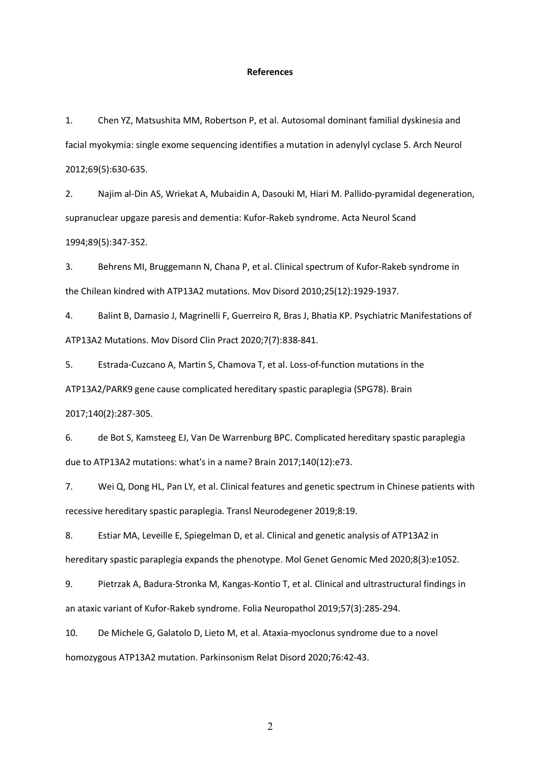## **References**

1. Chen YZ, Matsushita MM, Robertson P, et al. Autosomal dominant familial dyskinesia and facial myokymia: single exome sequencing identifies a mutation in adenylyl cyclase 5. Arch Neurol 2012;69(5):630-635.

2. Najim al-Din AS, Wriekat A, Mubaidin A, Dasouki M, Hiari M. Pallido-pyramidal degeneration, supranuclear upgaze paresis and dementia: Kufor-Rakeb syndrome. Acta Neurol Scand 1994;89(5):347-352.

3. Behrens MI, Bruggemann N, Chana P, et al. Clinical spectrum of Kufor-Rakeb syndrome in the Chilean kindred with ATP13A2 mutations. Mov Disord 2010;25(12):1929-1937.

4. Balint B, Damasio J, Magrinelli F, Guerreiro R, Bras J, Bhatia KP. Psychiatric Manifestations of ATP13A2 Mutations. Mov Disord Clin Pract 2020;7(7):838-841.

5. Estrada-Cuzcano A, Martin S, Chamova T, et al. Loss-of-function mutations in the ATP13A2/PARK9 gene cause complicated hereditary spastic paraplegia (SPG78). Brain

2017;140(2):287-305.

6. de Bot S, Kamsteeg EJ, Van De Warrenburg BPC. Complicated hereditary spastic paraplegia due to ATP13A2 mutations: what's in a name? Brain 2017;140(12):e73.

7. Wei Q, Dong HL, Pan LY, et al. Clinical features and genetic spectrum in Chinese patients with recessive hereditary spastic paraplegia. Transl Neurodegener 2019;8:19.

8. Estiar MA, Leveille E, Spiegelman D, et al. Clinical and genetic analysis of ATP13A2 in hereditary spastic paraplegia expands the phenotype. Mol Genet Genomic Med 2020;8(3):e1052.

9. Pietrzak A, Badura-Stronka M, Kangas-Kontio T, et al. Clinical and ultrastructural findings in an ataxic variant of Kufor-Rakeb syndrome. Folia Neuropathol 2019;57(3):285-294.

10. De Michele G, Galatolo D, Lieto M, et al. Ataxia-myoclonus syndrome due to a novel homozygous ATP13A2 mutation. Parkinsonism Relat Disord 2020;76:42-43.

2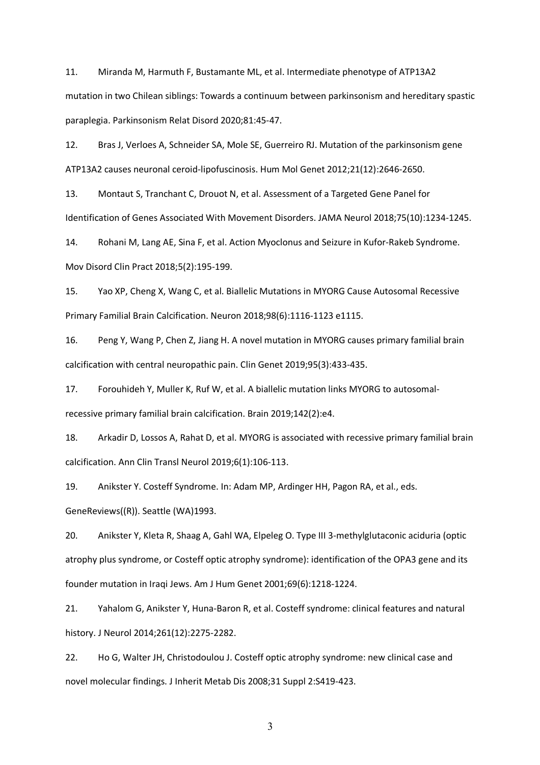11. Miranda M, Harmuth F, Bustamante ML, et al. Intermediate phenotype of ATP13A2 mutation in two Chilean siblings: Towards a continuum between parkinsonism and hereditary spastic paraplegia. Parkinsonism Relat Disord 2020;81:45-47.

12. Bras J, Verloes A, Schneider SA, Mole SE, Guerreiro RJ. Mutation of the parkinsonism gene ATP13A2 causes neuronal ceroid-lipofuscinosis. Hum Mol Genet 2012;21(12):2646-2650.

13. Montaut S, Tranchant C, Drouot N, et al. Assessment of a Targeted Gene Panel for Identification of Genes Associated With Movement Disorders. JAMA Neurol 2018;75(10):1234-1245.

14. Rohani M, Lang AE, Sina F, et al. Action Myoclonus and Seizure in Kufor-Rakeb Syndrome. Mov Disord Clin Pract 2018;5(2):195-199.

15. Yao XP, Cheng X, Wang C, et al. Biallelic Mutations in MYORG Cause Autosomal Recessive Primary Familial Brain Calcification. Neuron 2018;98(6):1116-1123 e1115.

16. Peng Y, Wang P, Chen Z, Jiang H. A novel mutation in MYORG causes primary familial brain calcification with central neuropathic pain. Clin Genet 2019;95(3):433-435.

17. Forouhideh Y, Muller K, Ruf W, et al. A biallelic mutation links MYORG to autosomalrecessive primary familial brain calcification. Brain 2019;142(2):e4.

18. Arkadir D, Lossos A, Rahat D, et al. MYORG is associated with recessive primary familial brain calcification. Ann Clin Transl Neurol 2019;6(1):106-113.

19. Anikster Y. Costeff Syndrome. In: Adam MP, Ardinger HH, Pagon RA, et al., eds. GeneReviews((R)). Seattle (WA)1993.

20. Anikster Y, Kleta R, Shaag A, Gahl WA, Elpeleg O. Type III 3-methylglutaconic aciduria (optic atrophy plus syndrome, or Costeff optic atrophy syndrome): identification of the OPA3 gene and its founder mutation in Iraqi Jews. Am J Hum Genet 2001;69(6):1218-1224.

21. Yahalom G, Anikster Y, Huna-Baron R, et al. Costeff syndrome: clinical features and natural history. J Neurol 2014;261(12):2275-2282.

22. Ho G, Walter JH, Christodoulou J. Costeff optic atrophy syndrome: new clinical case and novel molecular findings. J Inherit Metab Dis 2008;31 Suppl 2:S419-423.

3